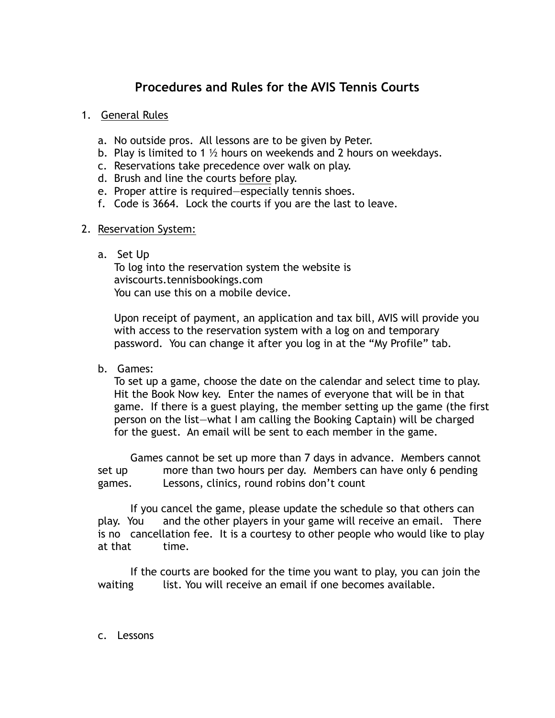# **Procedures and Rules for the AVIS Tennis Courts**

# 1. General Rules

- a. No outside pros. All lessons are to be given by Peter.
- b. Play is limited to 1  $\frac{1}{2}$  hours on weekends and 2 hours on weekdays.
- c. Reservations take precedence over walk on play.
- d. Brush and line the courts before play.
- e. Proper attire is required—especially tennis shoes.
- f. Code is 3664. Lock the courts if you are the last to leave.

### 2. Reservation System:

# a. Set Up

To log into the reservation system the website is aviscourts.tennisbookings.com You can use this on a mobile device.

Upon receipt of payment, an application and tax bill, AVIS will provide you with access to the reservation system with a log on and temporary password. You can change it after you log in at the "My Profile" tab.

b. Games:

To set up a game, choose the date on the calendar and select time to play. Hit the Book Now key. Enter the names of everyone that will be in that game. If there is a guest playing, the member setting up the game (the first person on the list—what I am calling the Booking Captain) will be charged for the guest. An email will be sent to each member in the game.

 Games cannot be set up more than 7 days in advance. Members cannot set up more than two hours per day. Members can have only 6 pending games. Lessons, clinics, round robins don't count

 If you cancel the game, please update the schedule so that others can play. You and the other players in your game will receive an email. There is no cancellation fee. It is a courtesy to other people who would like to play at that time.

 If the courts are booked for the time you want to play, you can join the waiting list. You will receive an email if one becomes available.

c. Lessons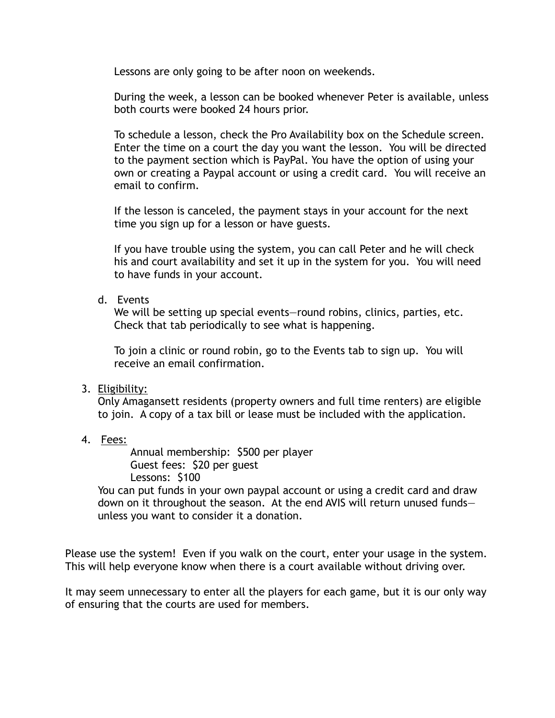Lessons are only going to be after noon on weekends.

During the week, a lesson can be booked whenever Peter is available, unless both courts were booked 24 hours prior.

To schedule a lesson, check the Pro Availability box on the Schedule screen. Enter the time on a court the day you want the lesson. You will be directed to the payment section which is PayPal. You have the option of using your own or creating a Paypal account or using a credit card. You will receive an email to confirm.

If the lesson is canceled, the payment stays in your account for the next time you sign up for a lesson or have guests.

If you have trouble using the system, you can call Peter and he will check his and court availability and set it up in the system for you. You will need to have funds in your account.

#### d. Events

We will be setting up special events—round robins, clinics, parties, etc. Check that tab periodically to see what is happening.

To join a clinic or round robin, go to the Events tab to sign up. You will receive an email confirmation.

### 3. Eligibility:

Only Amagansett residents (property owners and full time renters) are eligible to join. A copy of a tax bill or lease must be included with the application.

4. Fees:

 Annual membership: \$500 per player Guest fees: \$20 per guest Lessons: \$100

You can put funds in your own paypal account or using a credit card and draw down on it throughout the season. At the end AVIS will return unused funds unless you want to consider it a donation.

Please use the system! Even if you walk on the court, enter your usage in the system. This will help everyone know when there is a court available without driving over.

It may seem unnecessary to enter all the players for each game, but it is our only way of ensuring that the courts are used for members.